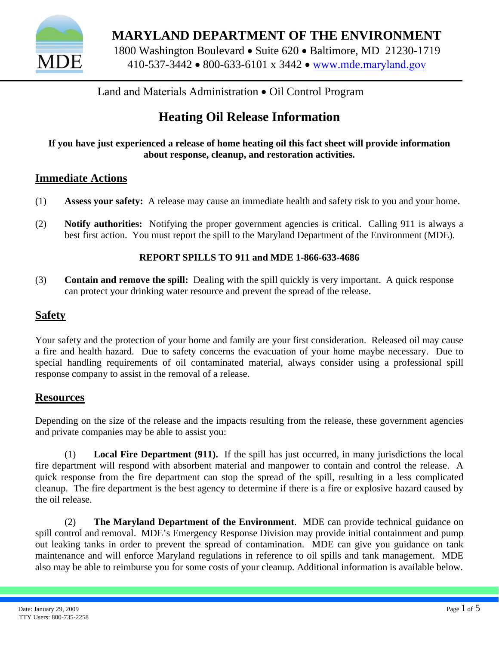

**MARYLAND DEPARTMENT OF THE ENVIRONMENT**  1800 Washington Boulevard • Suite 620 • Baltimore, MD 21230-1719 410-537-3442 • 800-633-6101 x 3442 • www.mde.[maryland.go](http://www.mde.state.md.us/)v

Land and Materials Administration • Oil Control Program

## **Heating Oil Release Information**

**If you have just experienced a release of home heating oil this fact sheet will provide information about response, cleanup, and restoration activities.** 

### **Immediate Actions**

- (1) **Assess your safety:** A release may cause an immediate health and safety risk to you and your home.
- (2) **Notify authorities:** Notifying the proper government agencies is critical. Calling 911 is always a best first action. You must report the spill to the Maryland Department of the Environment (MDE).

#### **REPORT SPILLS TO 911 and MDE 1-866-633-4686**

(3) **Contain and remove the spill:** Dealing with the spill quickly is very important. A quick response can protect your drinking water resource and prevent the spread of the release.

### **Safety**

Your safety and the protection of your home and family are your first consideration. Released oil may cause a fire and health hazard. Due to safety concerns the evacuation of your home maybe necessary. Due to special handling requirements of oil contaminated material, always consider using a professional spill response company to assist in the removal of a release.

#### **Resources**

Depending on the size of the release and the impacts resulting from the release, these government agencies and private companies may be able to assist you:

(1) **Local Fire Department (911).** If the spill has just occurred, in many jurisdictions the local fire department will respond with absorbent material and manpower to contain and control the release. A quick response from the fire department can stop the spread of the spill, resulting in a less complicated cleanup. The fire department is the best agency to determine if there is a fire or explosive hazard caused by the oil release.

(2) **The Maryland Department of the Environment**. MDE can provide technical guidance on spill control and removal. MDE's Emergency Response Division may provide initial containment and pump out leaking tanks in order to prevent the spread of contamination. MDE can give you guidance on tank maintenance and will enforce Maryland regulations in reference to oil spills and tank management. MDE also may be able to reimburse you for some costs of your cleanup. Additional information is available below.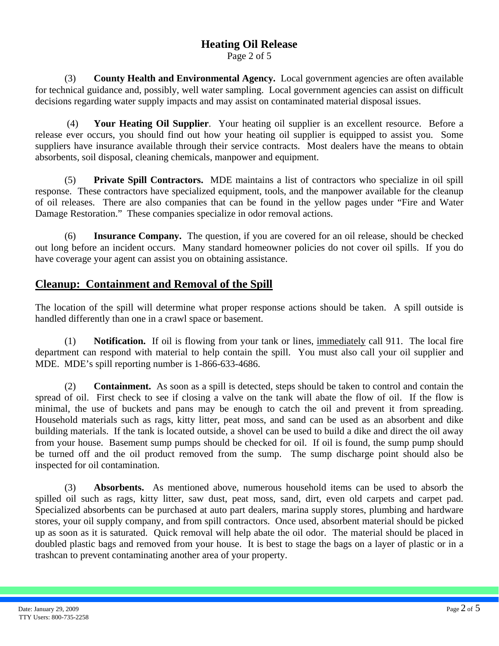Page 2 of 5

(3) **County Health and Environmental Agency.** Local government agencies are often available for technical guidance and, possibly, well water sampling. Local government agencies can assist on difficult decisions regarding water supply impacts and may assist on contaminated material disposal issues.

 (4) **Your Heating Oil Supplier**. Your heating oil supplier is an excellent resource. Before a release ever occurs, you should find out how your heating oil supplier is equipped to assist you. Some suppliers have insurance available through their service contracts. Most dealers have the means to obtain absorbents, soil disposal, cleaning chemicals, manpower and equipment.

(5) **Private Spill Contractors.** MDE maintains a list of contractors who specialize in oil spill response. These contractors have specialized equipment, tools, and the manpower available for the cleanup of oil releases. There are also companies that can be found in the yellow pages under "Fire and Water Damage Restoration." These companies specialize in odor removal actions.

(6) **Insurance Company.** The question, if you are covered for an oil release, should be checked out long before an incident occurs. Many standard homeowner policies do not cover oil spills. If you do have coverage your agent can assist you on obtaining assistance.

### **Cleanup: Containment and Removal of the Spill**

The location of the spill will determine what proper response actions should be taken. A spill outside is handled differently than one in a crawl space or basement.

(1) **Notification.** If oil is flowing from your tank or lines, immediately call 911. The local fire department can respond with material to help contain the spill. You must also call your oil supplier and MDE. MDE's spill reporting number is 1-866-633-4686.

(2) **Containment.** As soon as a spill is detected, steps should be taken to control and contain the spread of oil. First check to see if closing a valve on the tank will abate the flow of oil. If the flow is minimal, the use of buckets and pans may be enough to catch the oil and prevent it from spreading. Household materials such as rags, kitty litter, peat moss, and sand can be used as an absorbent and dike building materials. If the tank is located outside, a shovel can be used to build a dike and direct the oil away from your house. Basement sump pumps should be checked for oil. If oil is found, the sump pump should be turned off and the oil product removed from the sump. The sump discharge point should also be inspected for oil contamination.

(3) **Absorbents.** As mentioned above, numerous household items can be used to absorb the spilled oil such as rags, kitty litter, saw dust, peat moss, sand, dirt, even old carpets and carpet pad. Specialized absorbents can be purchased at auto part dealers, marina supply stores, plumbing and hardware stores, your oil supply company, and from spill contractors. Once used, absorbent material should be picked up as soon as it is saturated. Quick removal will help abate the oil odor. The material should be placed in doubled plastic bags and removed from your house. It is best to stage the bags on a layer of plastic or in a trashcan to prevent contaminating another area of your property.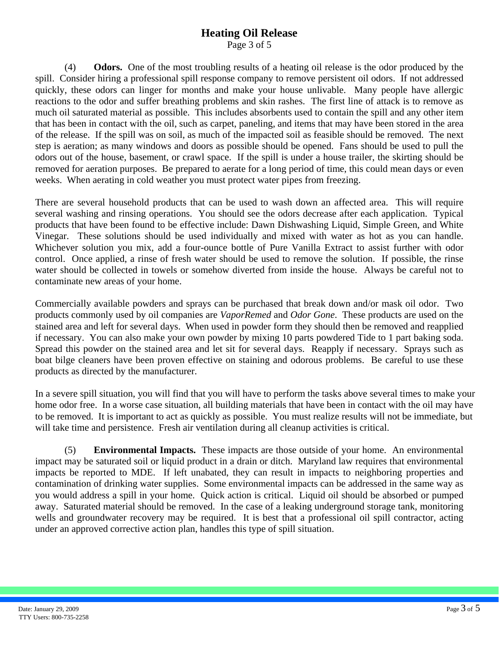Page 3 of 5

(4) **Odors.** One of the most troubling results of a heating oil release is the odor produced by the spill. Consider hiring a professional spill response company to remove persistent oil odors. If not addressed quickly, these odors can linger for months and make your house unlivable. Many people have allergic reactions to the odor and suffer breathing problems and skin rashes. The first line of attack is to remove as much oil saturated material as possible. This includes absorbents used to contain the spill and any other item that has been in contact with the oil, such as carpet, paneling, and items that may have been stored in the area of the release. If the spill was on soil, as much of the impacted soil as feasible should be removed. The next step is aeration; as many windows and doors as possible should be opened. Fans should be used to pull the odors out of the house, basement, or crawl space. If the spill is under a house trailer, the skirting should be removed for aeration purposes. Be prepared to aerate for a long period of time, this could mean days or even weeks. When aerating in cold weather you must protect water pipes from freezing.

There are several household products that can be used to wash down an affected area. This will require several washing and rinsing operations. You should see the odors decrease after each application. Typical products that have been found to be effective include: Dawn Dishwashing Liquid, Simple Green, and White Vinegar. These solutions should be used individually and mixed with water as hot as you can handle. Whichever solution you mix, add a four-ounce bottle of Pure Vanilla Extract to assist further with odor control. Once applied, a rinse of fresh water should be used to remove the solution. If possible, the rinse water should be collected in towels or somehow diverted from inside the house. Always be careful not to contaminate new areas of your home.

Commercially available powders and sprays can be purchased that break down and/or mask oil odor. Two products commonly used by oil companies are *VaporRemed* and *Odor Gone*. These products are used on the stained area and left for several days. When used in powder form they should then be removed and reapplied if necessary. You can also make your own powder by mixing 10 parts powdered Tide to 1 part baking soda. Spread this powder on the stained area and let sit for several days. Reapply if necessary. Sprays such as boat bilge cleaners have been proven effective on staining and odorous problems. Be careful to use these products as directed by the manufacturer.

In a severe spill situation, you will find that you will have to perform the tasks above several times to make your home odor free. In a worse case situation, all building materials that have been in contact with the oil may have to be removed. It is important to act as quickly as possible. You must realize results will not be immediate, but will take time and persistence. Fresh air ventilation during all cleanup activities is critical.

(5) **Environmental Impacts.** These impacts are those outside of your home. An environmental impact may be saturated soil or liquid product in a drain or ditch. Maryland law requires that environmental impacts be reported to MDE. If left unabated, they can result in impacts to neighboring properties and contamination of drinking water supplies. Some environmental impacts can be addressed in the same way as you would address a spill in your home. Quick action is critical. Liquid oil should be absorbed or pumped away. Saturated material should be removed. In the case of a leaking underground storage tank, monitoring wells and groundwater recovery may be required. It is best that a professional oil spill contractor, acting under an approved corrective action plan, handles this type of spill situation.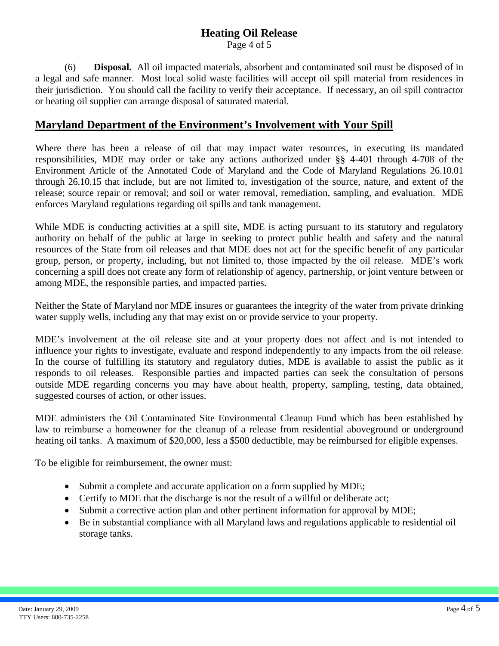Page 4 of 5

(6) **Disposal.** All oil impacted materials, absorbent and contaminated soil must be disposed of in a legal and safe manner. Most local solid waste facilities will accept oil spill material from residences in their jurisdiction. You should call the facility to verify their acceptance. If necessary, an oil spill contractor or heating oil supplier can arrange disposal of saturated material.

### **Maryland Department of the Environment's Involvement with Your Spill**

Where there has been a release of oil that may impact water resources, in executing its mandated responsibilities, MDE may order or take any actions authorized under §§ 4-401 through 4-708 of the Environment Article of the Annotated Code of Maryland and the Code of Maryland Regulations 26.10.01 through 26.10.15 that include, but are not limited to, investigation of the source, nature, and extent of the release; source repair or removal; and soil or water removal, remediation, sampling, and evaluation. MDE enforces Maryland regulations regarding oil spills and tank management.

While MDE is conducting activities at a spill site, MDE is acting pursuant to its statutory and regulatory authority on behalf of the public at large in seeking to protect public health and safety and the natural resources of the State from oil releases and that MDE does not act for the specific benefit of any particular group, person, or property, including, but not limited to, those impacted by the oil release. MDE's work concerning a spill does not create any form of relationship of agency, partnership, or joint venture between or among MDE, the responsible parties, and impacted parties.

Neither the State of Maryland nor MDE insures or guarantees the integrity of the water from private drinking water supply wells, including any that may exist on or provide service to your property.

MDE's involvement at the oil release site and at your property does not affect and is not intended to influence your rights to investigate, evaluate and respond independently to any impacts from the oil release. In the course of fulfilling its statutory and regulatory duties, MDE is available to assist the public as it responds to oil releases. Responsible parties and impacted parties can seek the consultation of persons outside MDE regarding concerns you may have about health, property, sampling, testing, data obtained, suggested courses of action, or other issues.

MDE administers the Oil Contaminated Site Environmental Cleanup Fund which has been established by law to reimburse a homeowner for the cleanup of a release from residential aboveground or underground heating oil tanks. A maximum of \$20,000, less a \$500 deductible, may be reimbursed for eligible expenses.

To be eligible for reimbursement, the owner must:

- Submit a complete and accurate application on a form supplied by MDE;
- Certify to MDE that the discharge is not the result of a willful or deliberate act;
- Submit a corrective action plan and other pertinent information for approval by MDE;
- Be in substantial compliance with all Maryland laws and regulations applicable to residential oil storage tanks.